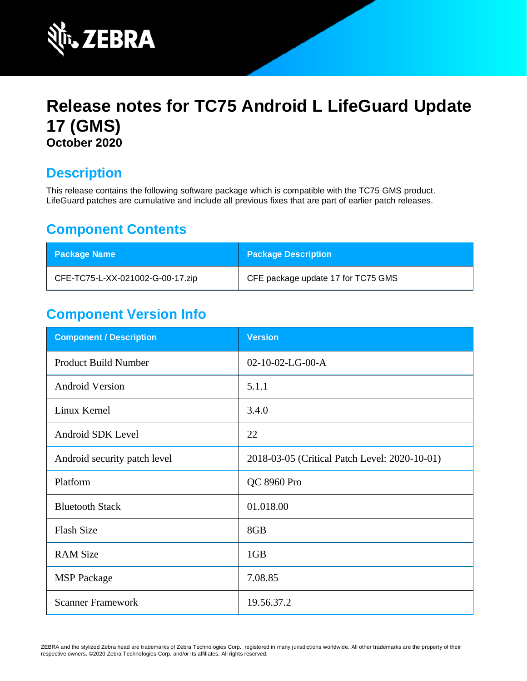

# **Release notes for TC75 Android L LifeGuard Update 17 (GMS) October 2020**

## **Description**

This release contains the following software package which is compatible with the TC75 GMS product. LifeGuard patches are cumulative and include all previous fixes that are part of earlier patch releases.

### **Component Contents**

| <b>Package Name</b>              | <b>Package Description</b>         |
|----------------------------------|------------------------------------|
| CFE-TC75-L-XX-021002-G-00-17.zip | CFE package update 17 for TC75 GMS |

### **Component Version Info**

| <b>Component / Description</b> | <b>Version</b>                                |
|--------------------------------|-----------------------------------------------|
| <b>Product Build Number</b>    | $02-10-02-LG-00-A$                            |
| <b>Android Version</b>         | 5.1.1                                         |
| Linux Kernel                   | 3.4.0                                         |
| Android SDK Level              | 22                                            |
| Android security patch level   | 2018-03-05 (Critical Patch Level: 2020-10-01) |
| Platform                       | QC 8960 Pro                                   |
| <b>Bluetooth Stack</b>         | 01.018.00                                     |
| <b>Flash Size</b>              | 8GB                                           |
| <b>RAM Size</b>                | 1GB                                           |
| <b>MSP</b> Package             | 7.08.85                                       |
| <b>Scanner Framework</b>       | 19.56.37.2                                    |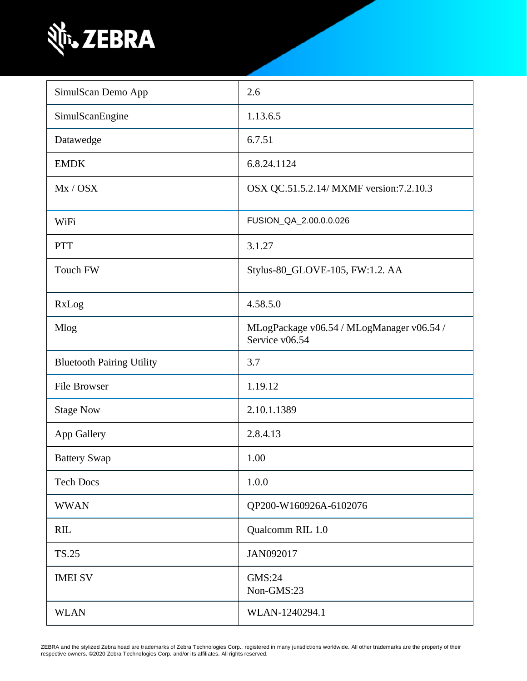

| SimulScan Demo App               | 2.6                                                         |
|----------------------------------|-------------------------------------------------------------|
| SimulScanEngine                  | 1.13.6.5                                                    |
| Datawedge                        | 6.7.51                                                      |
| <b>EMDK</b>                      | 6.8.24.1124                                                 |
| Mx / OSX                         | OSX QC.51.5.2.14/ MXMF version:7.2.10.3                     |
| WiFi                             | FUSION_QA_2.00.0.0.026                                      |
| <b>PTT</b>                       | 3.1.27                                                      |
| Touch FW                         | Stylus-80_GLOVE-105, FW:1.2. AA                             |
| RxLog                            | 4.58.5.0                                                    |
| Mlog                             | MLogPackage v06.54 / MLogManager v06.54 /<br>Service v06.54 |
| <b>Bluetooth Pairing Utility</b> | 3.7                                                         |
| <b>File Browser</b>              | 1.19.12                                                     |
| <b>Stage Now</b>                 | 2.10.1.1389                                                 |
| App Gallery                      | 2.8.4.13                                                    |
| <b>Battery Swap</b>              | 1.00                                                        |
| <b>Tech Docs</b>                 | 1.0.0                                                       |
| <b>WWAN</b>                      | QP200-W160926A-6102076                                      |
| <b>RIL</b>                       | Qualcomm RIL 1.0                                            |
| <b>TS.25</b>                     | JAN092017                                                   |
| <b>IMEI SV</b>                   | GMS:24<br>Non-GMS:23                                        |
| <b>WLAN</b>                      | WLAN-1240294.1                                              |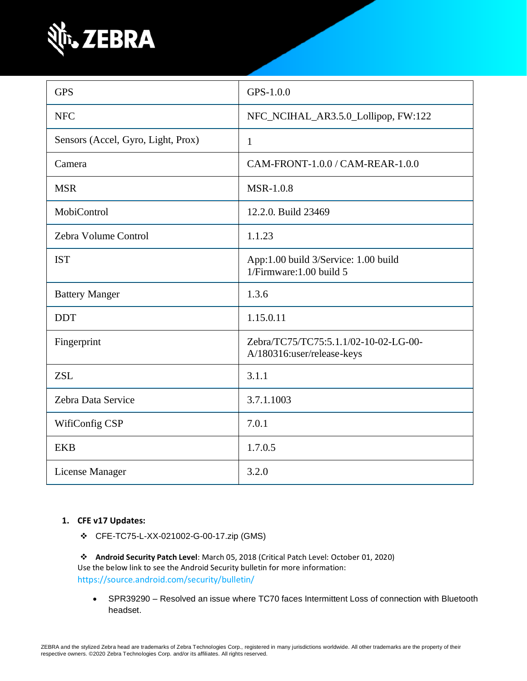

| <b>GPS</b>                         | GPS-1.0.0                                                           |
|------------------------------------|---------------------------------------------------------------------|
| <b>NFC</b>                         | NFC_NCIHAL_AR3.5.0_Lollipop, FW:122                                 |
| Sensors (Accel, Gyro, Light, Prox) | $\mathbf{1}$                                                        |
| Camera                             | CAM-FRONT-1.0.0 / CAM-REAR-1.0.0                                    |
| <b>MSR</b>                         | <b>MSR-1.0.8</b>                                                    |
| MobiControl                        | 12.2.0. Build 23469                                                 |
| Zebra Volume Control               | 1.1.23                                                              |
| <b>IST</b>                         | App:1.00 build 3/Service: 1.00 build<br>1/Firmware: 1.00 build 5    |
| <b>Battery Manger</b>              | 1.3.6                                                               |
| <b>DDT</b>                         | 1.15.0.11                                                           |
| Fingerprint                        | Zebra/TC75/TC75:5.1.1/02-10-02-LG-00-<br>A/180316:user/release-keys |
| <b>ZSL</b>                         | 3.1.1                                                               |
| Zebra Data Service                 | 3.7.1.1003                                                          |
| WifiConfig CSP                     | 7.0.1                                                               |
| <b>EKB</b>                         | 1.7.0.5                                                             |
| License Manager                    | 3.2.0                                                               |

#### **1. CFE v17 Updates:**

❖ CFE-TC75-L-XX-021002-G-00-17.zip (GMS)

❖ **Android Security Patch Level**: March 05, 2018 (Critical Patch Level: October 01, 2020) Use the below link to see the Android Security bulletin for more information: <https://source.android.com/security/bulletin/>

• SPR39290 – Resolved an issue where TC70 faces Intermittent Loss of connection with Bluetooth headset.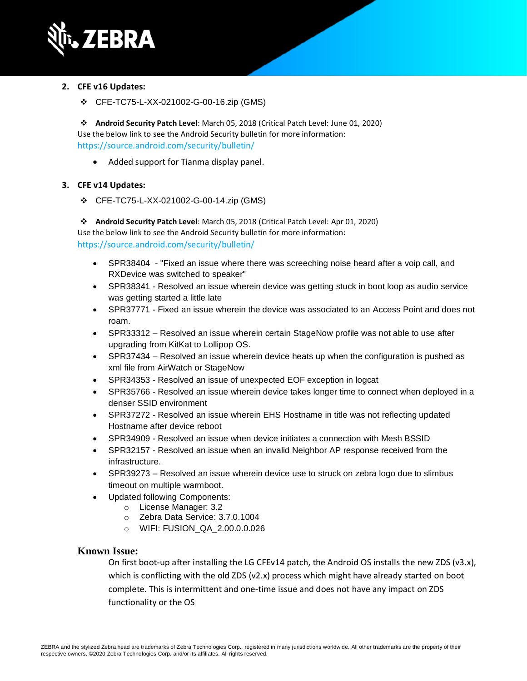

#### **2. CFE v16 Updates:**

❖ CFE-TC75-L-XX-021002-G-00-16.zip (GMS)

❖ **Android Security Patch Level**: March 05, 2018 (Critical Patch Level: June 01, 2020) Use the below link to see the Android Security bulletin for more information: <https://source.android.com/security/bulletin/>

• Added support for Tianma display panel.

#### **3. CFE v14 Updates:**

❖ CFE-TC75-L-XX-021002-G-00-14.zip (GMS)

❖ **Android Security Patch Level**: March 05, 2018 (Critical Patch Level: Apr 01, 2020) Use the below link to see the Android Security bulletin for more information: <https://source.android.com/security/bulletin/>

- [SPR38404](https://jiraemv.zebra.com/browse/BSPA-131963)  "Fixed an issue where there was screeching noise heard after a voip call, and RXDevice was switched to speaker"
- SPR38341 Resolved an issue wherein device was getting stuck in boot loop as audio service was getting started a little late
- SPR37771 Fixed an issue wherein the device was associated to an Access Point and does not roam.
- SPR33312 Resolved an issue wherein certain StageNow profile was not able to use after upgrading from KitKat to Lollipop OS.
- SPR37434 Resolved an issue wherein device heats up when the configuration is pushed as xml file from AirWatch or StageNow
- SPR34353 Resolved an issue of unexpected EOF exception in logcat
- SPR35766 Resolved an issue wherein device takes longer time to connect when deployed in a denser SSID environment
- SPR37272 Resolved an issue wherein EHS Hostname in title was not reflecting updated Hostname after device reboot
- SPR34909 Resolved an issue when device initiates a connection with Mesh BSSID
- [SPR32157](https://jiraemv.zebra.com/browse/BSPA-86471) Resolved an issue when an invalid Neighbor AP response received from the infrastructure.
- [SPR39273](https://jiraemv.zebra.com/browse/BSPA-142071) Resolved an issue wherein device use to struck on zebra logo due to slimbus timeout on multiple warmboot.
- Updated following Components:
	- o License Manager: 3.2
		- o Zebra Data Service: 3.7.0.1004
		- o WIFI: FUSION\_QA\_2.00.0.0.026

#### **Known Issue:**

On first boot-up after installing the LG CFEv14 patch, the Android OS installs the new ZDS (v3.x), which is conflicting with the old ZDS (v2.x) process which might have already started on boot complete. This is intermittent and one-time issue and does not have any impact on ZDS functionality or the OS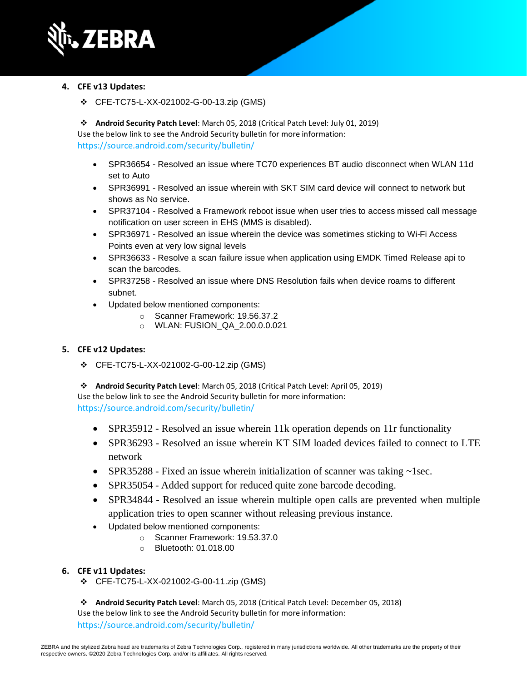

#### **4. CFE v13 Updates:**

❖ CFE-TC75-L-XX-021002-G-00-13.zip (GMS)

❖ **Android Security Patch Level**: March 05, 2018 (Critical Patch Level: July 01, 2019) Use the below link to see the Android Security bulletin for more information: <https://source.android.com/security/bulletin/>

- SPR36654 Resolved an issue where TC70 experiences BT audio disconnect when WLAN 11d set to Auto
- SPR36991 Resolved an issue wherein with SKT SIM card device will connect to network but shows as No service.
- SPR37104 Resolved a Framework reboot issue when user tries to access missed call message notification on user screen in EHS (MMS is disabled).
- SPR36971 Resolved an issue wherein the device was sometimes sticking to Wi-Fi Access Points even at very low signal levels
- SPR36633 Resolve a scan failure issue when application using EMDK Timed Release api to scan the barcodes.
- SPR37258 Resolved an issue where DNS Resolution fails when device roams to different subnet.
- Updated below mentioned components:
	- o Scanner Framework: 19.56.37.2
	- o WLAN: FUSION\_QA\_2.00.0.0.021

#### **5. CFE v12 Updates:**

❖ CFE-TC75-L-XX-021002-G-00-12.zip (GMS)

❖ **Android Security Patch Level**: March 05, 2018 (Critical Patch Level: April 05, 2019) Use the below link to see the Android Security bulletin for more information: <https://source.android.com/security/bulletin/>

- SPR35912 Resolved an issue wherein 11k operation depends on 11r functionality
- SPR36293 Resolved an issue wherein KT SIM loaded devices failed to connect to LTE network
- SPR35288 Fixed an issue wherein initialization of scanner was taking ~1sec.
- SPR35054 Added support for reduced quite zone barcode decoding.
- SPR34844 Resolved an issue wherein multiple open calls are prevented when multiple application tries to open scanner without releasing previous instance.
- Updated below mentioned components:
	- o Scanner Framework: 19.53.37.0
	- o Bluetooth: 01.018.00

#### **6. CFE v11 Updates:**

❖ CFE-TC75-L-XX-021002-G-00-11.zip (GMS)

❖ **Android Security Patch Level**: March 05, 2018 (Critical Patch Level: December 05, 2018) Use the below link to see the Android Security bulletin for more information: <https://source.android.com/security/bulletin/>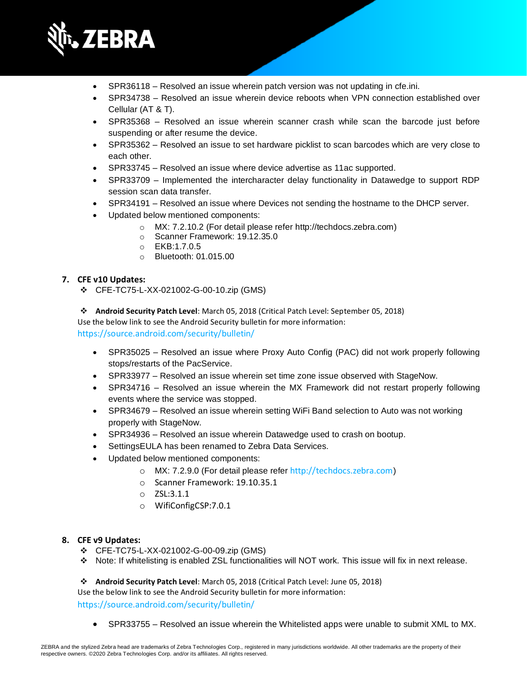

- SPR36118 Resolved an issue wherein patch version was not updating in cfe.ini.
- SPR34738 Resolved an issue wherein device reboots when VPN connection established over Cellular (AT & T).
- SPR35368 Resolved an issue wherein scanner crash while scan the barcode just before suspending or after resume the device.
- SPR35362 Resolved an issue to set hardware picklist to scan barcodes which are very close to each other.
- SPR33745 Resolved an issue where device advertise as 11ac supported.
- SPR33709 Implemented the intercharacter delay functionality in Datawedge to support RDP session scan data transfer.
- SPR34191 Resolved an issue where Devices not sending the hostname to the DHCP server.
- Updated below mentioned components:
	- o MX: 7.2.10.2 (For detail please refer [http://techdocs.zebra.com\)](http://techdocs.zebra.com/)
	- o Scanner Framework: 19.12.35.0
	- o EKB:1.7.0.5
	- o Bluetooth: 01.015.00

#### **7. CFE v10 Updates:**

- ❖ CFE-TC75-L-XX-021002-G-00-10.zip (GMS)
- ❖ **Android Security Patch Level**: March 05, 2018 (Critical Patch Level: September 05, 2018)

Use the below link to see the Android Security bulletin for more information:

<https://source.android.com/security/bulletin/>

- SPR35025 Resolved an issue where Proxy Auto Config (PAC) did not work properly following stops/restarts of the PacService.
- SPR33977 Resolved an issue wherein set time zone issue observed with StageNow.
- SPR34716 Resolved an issue wherein the MX Framework did not restart properly following events where the service was stopped.
- SPR34679 Resolved an issue wherein setting WiFi Band selection to Auto was not working properly with StageNow.
- SPR34936 Resolved an issue wherein Datawedge used to crash on bootup.
- SettingsEULA has been renamed to Zebra Data Services.
- Updated below mentioned components:
	- o MX: 7.2.9.0 (For detail please refer [http://techdocs.zebra.com](http://techdocs.zebra.com/))
	- o Scanner Framework: 19.10.35.1
	- o ZSL:3.1.1
	- o WifiConfigCSP:7.0.1

#### **8. CFE v9 Updates:**

- ❖ CFE-TC75-L-XX-021002-G-00-09.zip (GMS)
- ❖ Note: If whitelisting is enabled ZSL functionalities will NOT work. This issue will fix in next release.

❖ **Android Security Patch Level**: March 05, 2018 (Critical Patch Level: June 05, 2018)

Use the below link to see the Android Security bulletin for more information:

<https://source.android.com/security/bulletin/>

• SPR33755 – Resolved an issue wherein the Whitelisted apps were unable to submit XML to MX.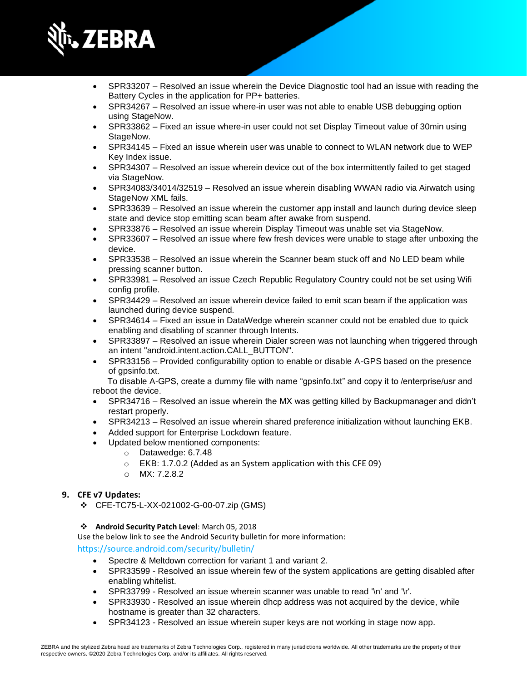

- SPR33207 Resolved an issue wherein the Device Diagnostic tool had an issue with reading the Battery Cycles in the application for PP+ batteries.
- SPR34267 Resolved an issue where-in user was not able to enable USB debugging option using StageNow.
- SPR33862 Fixed an issue where-in user could not set Display Timeout value of 30min using StageNow.
- SPR34145 Fixed an issue wherein user was unable to connect to WLAN network due to WEP Key Index issue.
- SPR34307 Resolved an issue wherein device out of the box intermittently failed to get staged via StageNow.
- SPR34083/34014/32519 Resolved an issue wherein disabling WWAN radio via Airwatch using StageNow XML fails.
- SPR33639 Resolved an issue wherein the customer app install and launch during device sleep state and device stop emitting scan beam after awake from suspend.
- SPR33876 Resolved an issue wherein Display Timeout was unable set via StageNow.
- SPR33607 Resolved an issue where few fresh devices were unable to stage after unboxing the device.
- SPR33538 Resolved an issue wherein the Scanner beam stuck off and No LED beam while pressing scanner button.
- SPR33981 Resolved an issue Czech Republic Regulatory Country could not be set using Wifi config profile.
- SPR34429 Resolved an issue wherein device failed to emit scan beam if the application was launched during device suspend.
- SPR34614 Fixed an issue in DataWedge wherein scanner could not be enabled due to quick enabling and disabling of scanner through Intents.
- SPR33897 Resolved an issue wherein Dialer screen was not launching when triggered through an intent "android.intent.action.CALL\_BUTTON".
- SPR33156 Provided configurability option to enable or disable A-GPS based on the presence of gpsinfo.txt.

 To disable A-GPS, create a dummy file with name "gpsinfo.txt" and copy it to /enterprise/usr and reboot the device.

- SPR34716 Resolved an issue wherein the MX was getting killed by Backupmanager and didn't restart properly.
- SPR34213 Resolved an issue wherein shared preference initialization without launching EKB.
- Added support for Enterprise Lockdown feature.
- Updated below mentioned components:
	- o Datawedge: 6.7.48
	- o EKB: 1.7.0.2 (Added as an System application with this CFE 09)
	- o MX: 7.2.8.2

#### **9. CFE v7 Updates:**

- ❖ CFE-TC75-L-XX-021002-G-00-07.zip (GMS)
- ❖ **Android Security Patch Level**: March 05, 2018

Use the below link to see the Android Security bulletin for more information:

<https://source.android.com/security/bulletin/>

- Spectre & Meltdown correction for variant 1 and variant 2.
- SPR33599 Resolved an issue wherein few of the system applications are getting disabled after enabling whitelist.
- SPR33799 Resolved an issue wherein scanner was unable to read '\n' and '\r'.
- SPR33930 Resolved an issue wherein dhcp address was not acquired by the device, while hostname is greater than 32 characters.
- SPR34123 Resolved an issue wherein super keys are not working in stage now app.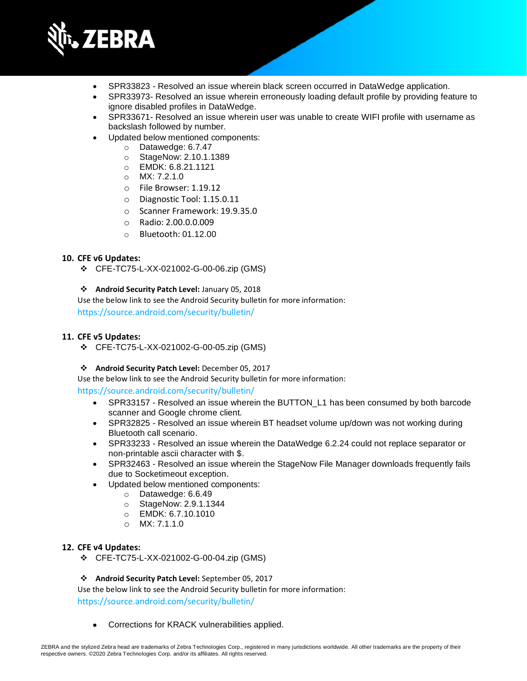

- SPR33823 Resolved an issue wherein black screen occurred in DataWedge application.
- SPR33973- Resolved an issue wherein erroneously loading default profile by providing feature to ignore disabled profiles in DataWedge.
- SPR33671- Resolved an issue wherein user was unable to create WIFI profile with username as backslash followed by number.
- Updated below mentioned components:
	- o Datawedge: 6.7.47
	- o StageNow: 2.10.1.1389
	- o EMDK: 6.8.21.1121
	- o MX: 7.2.1.0
	- o File Browser: 1.19.12
	- o Diagnostic Tool: 1.15.0.11
	- o Scanner Framework: 19.9.35.0
	- o Radio: 2.00.0.0.009
	- o Bluetooth: 01.12.00

#### **10. CFE v6 Updates:**

❖ CFE-TC75-L-XX-021002-G-00-06.zip (GMS)

#### ❖ **Android Security Patch Level:** January 05, 2018

Use the below link to see the Android Security bulletin for more information: <https://source.android.com/security/bulletin/>

#### **11. CFE v5 Updates:**

❖ CFE-TC75-L-XX-021002-G-00-05.zip (GMS)

#### ❖ **Android Security Patch Level:** December 05, 2017

Use the below link to see the Android Security bulletin for more information:

#### <https://source.android.com/security/bulletin/>

- SPR33157 Resolved an issue wherein the BUTTON L1 has been consumed by both barcode scanner and Google chrome client.
- SPR32825 Resolved an issue wherein BT headset volume up/down was not working during Bluetooth call scenario.
- SPR33233 Resolved an issue wherein the DataWedge 6.2.24 could not replace separator or non-printable ascii character with \$.
- SPR32463 Resolved an issue wherein the StageNow File Manager downloads frequently fails due to Socketimeout exception.
- Updated below mentioned components:
	- o Datawedge: 6.6.49
	- o StageNow: 2.9.1.1344
	- o EMDK: 6.7.10.1010
	- o MX: 7.1.1.0

#### **12. CFE v4 Updates:**

❖ CFE-TC75-L-XX-021002-G-00-04.zip (GMS)

#### ❖ **Android Security Patch Level:** September 05, 2017

Use the below link to see the Android Security bulletin for more information: <https://source.android.com/security/bulletin/>

• Corrections for KRACK vulnerabilities applied.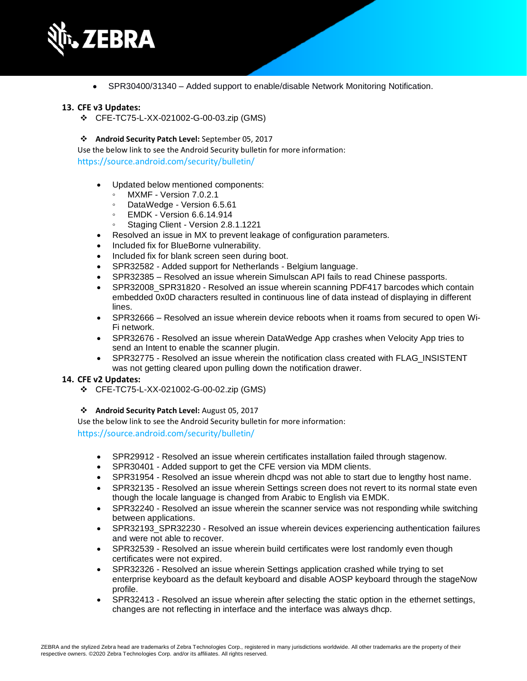

• SPR30400/31340 – Added support to enable/disable Network Monitoring Notification.

#### **13. CFE v3 Updates:**

❖ CFE-TC75-L-XX-021002-G-00-03.zip (GMS)

#### ❖ **Android Security Patch Level:** September 05, 2017

Use the below link to see the Android Security bulletin for more information: <https://source.android.com/security/bulletin/>

- Updated below mentioned components:
	- MXMF Version 7.0.2.1
	- DataWedge Version 6.5.61
	- EMDK Version 6.6.14.914
	- Staging Client Version 2.8.1.1221
- Resolved an issue in MX to prevent leakage of configuration parameters.
- Included fix for BlueBorne vulnerability.
- Included fix for blank screen seen during boot.
- SPR32582 Added support for Netherlands Belgium language.
- SPR32385 Resolved an issue wherein Simulscan API fails to read Chinese passports.
- SPR32008\_SPR31820 Resolved an issue wherein scanning PDF417 barcodes which contain embedded 0x0D characters resulted in continuous line of data instead of displaying in different lines.
- SPR32666 Resolved an issue wherein device reboots when it roams from secured to open Wi-Fi network.
- SPR32676 Resolved an issue wherein DataWedge App crashes when Velocity App tries to send an Intent to enable the scanner plugin.
- SPR32775 Resolved an issue wherein the notification class created with FLAG\_INSISTENT was not getting cleared upon pulling down the notification drawer.

#### **14. CFE v2 Updates:**

- ❖ CFE-TC75-L-XX-021002-G-00-02.zip (GMS)
- ❖ **Android Security Patch Level:** August 05, 2017

Use the below link to see the Android Security bulletin for more information:

<https://source.android.com/security/bulletin/>

- SPR29912 Resolved an issue wherein certificates installation failed through stagenow.
- SPR30401 Added support to get the CFE version via MDM clients.
- SPR31954 Resolved an issue wherein dhcpd was not able to start due to lengthy host name.
- SPR32135 Resolved an issue wherein Settings screen does not revert to its normal state even though the locale language is changed from Arabic to English via EMDK.
- SPR32240 Resolved an issue wherein the scanner service was not responding while switching between applications.
- SPR32193 SPR32230 Resolved an issue wherein devices experiencing authentication failures and were not able to recover.
- SPR32539 Resolved an issue wherein build certificates were lost randomly even though certificates were not expired.
- SPR32326 Resolved an issue wherein Settings application crashed while trying to set enterprise keyboard as the default keyboard and disable AOSP keyboard through the stageNow profile.
- SPR32413 Resolved an issue wherein after selecting the static option in the ethernet settings, changes are not reflecting in interface and the interface was always dhcp.